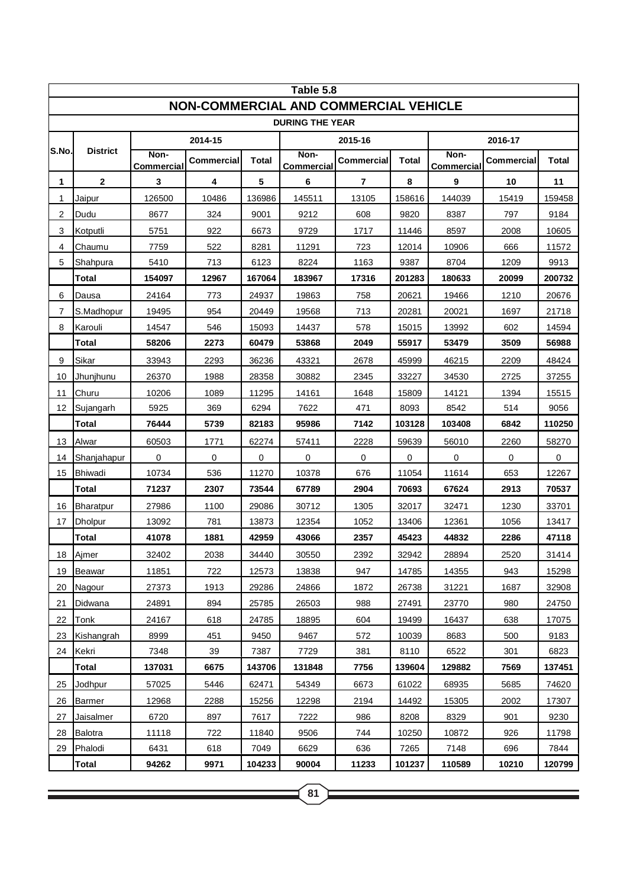| Table 5.8                                    |                  |                           |                   |              |                    |                         |        |                    |            |              |  |
|----------------------------------------------|------------------|---------------------------|-------------------|--------------|--------------------|-------------------------|--------|--------------------|------------|--------------|--|
| <b>NON-COMMERCIAL AND COMMERCIAL VEHICLE</b> |                  |                           |                   |              |                    |                         |        |                    |            |              |  |
| <b>DURING THE YEAR</b>                       |                  |                           |                   |              |                    |                         |        |                    |            |              |  |
|                                              |                  |                           | 2014-15           |              |                    | 2015-16                 |        |                    | 2016-17    |              |  |
| S.No.                                        | <b>District</b>  | Non-<br><b>Commercial</b> | <b>Commercial</b> | <b>Total</b> | Non-<br>Commercial | Commercial              | Total  | Non-<br>Commercial | Commercial | <b>Total</b> |  |
| 1                                            | $\mathbf{2}$     | 3                         | 4                 | 5            | $\bf 6$            | $\overline{\mathbf{r}}$ | 8      | 9                  | 10         | 11           |  |
| 1                                            | Jaipur           | 126500                    | 10486             | 136986       | 145511             | 13105                   | 158616 | 144039             | 15419      | 159458       |  |
| 2                                            | Dudu             | 8677                      | 324               | 9001         | 9212               | 608                     | 9820   | 8387               | 797        | 9184         |  |
| 3                                            | Kotputli         | 5751                      | 922               | 6673         | 9729               | 1717                    | 11446  | 8597               | 2008       | 10605        |  |
| 4                                            | Chaumu           | 7759                      | 522               | 8281         | 11291              | 723                     | 12014  | 10906              | 666        | 11572        |  |
| 5                                            | Shahpura         | 5410                      | 713               | 6123         | 8224               | 1163                    | 9387   | 8704               | 1209       | 9913         |  |
|                                              | Total            | 154097                    | 12967             | 167064       | 183967             | 17316                   | 201283 | 180633             | 20099      | 200732       |  |
| 6                                            | Dausa            | 24164                     | 773               | 24937        | 19863              | 758                     | 20621  | 19466              | 1210       | 20676        |  |
| 7                                            | S.Madhopur       | 19495                     | 954               | 20449        | 19568              | 713                     | 20281  | 20021              | 1697       | 21718        |  |
| 8                                            | Karouli          | 14547                     | 546               | 15093        | 14437              | 578                     | 15015  | 13992              | 602        | 14594        |  |
|                                              | Total            | 58206                     | 2273              | 60479        | 53868              | 2049                    | 55917  | 53479              | 3509       | 56988        |  |
| 9                                            | Sikar            | 33943                     | 2293              | 36236        | 43321              | 2678                    | 45999  | 46215              | 2209       | 48424        |  |
| 10                                           | Jhunjhunu        | 26370                     | 1988              | 28358        | 30882              | 2345                    | 33227  | 34530              | 2725       | 37255        |  |
| 11                                           | Churu            | 10206                     | 1089              | 11295        | 14161              | 1648                    | 15809  | 14121              | 1394       | 15515        |  |
| 12                                           | Sujangarh        | 5925                      | 369               | 6294         | 7622               | 471                     | 8093   | 8542               | 514        | 9056         |  |
|                                              | <b>Total</b>     | 76444                     | 5739              | 82183        | 95986              | 7142                    | 103128 | 103408             | 6842       | 110250       |  |
| 13                                           | Alwar            | 60503                     | 1771              | 62274        | 57411              | 2228                    | 59639  | 56010              | 2260       | 58270        |  |
| 14                                           | Shanjahapur      | 0                         | 0                 | 0            | 0                  | 0                       | 0      | 0                  | 0          | 0            |  |
| 15                                           | Bhiwadi          | 10734                     | 536               | 11270        | 10378              | 676                     | 11054  | 11614              | 653        | 12267        |  |
|                                              | <b>Total</b>     | 71237                     | 2307              | 73544        | 67789              | 2904                    | 70693  | 67624              | 2913       | 70537        |  |
| 16                                           | <b>Bharatpur</b> | 27986                     | 1100              | 29086        | 30712              | 1305                    | 32017  | 32471              | 1230       | 33701        |  |
| 17                                           | <b>Dholpur</b>   | 13092                     | 781               | 13873        | 12354              | 1052                    | 13406  | 12361              | 1056       | 13417        |  |
|                                              | <b>Total</b>     | 41078                     | 1881              | 42959        | 43066              | 2357                    | 45423  | 44832              | 2286       | 47118        |  |
|                                              | 18 Ajmer         | 32402                     | 2038              | 34440        | 30550              | 2392                    | 32942  | 28894              | 2520       | 31414        |  |
| 19                                           | Beawar           | 11851                     | 722               | 12573        | 13838              | 947                     | 14785  | 14355              | 943        | 15298        |  |
| 20                                           | Nagour           | 27373                     | 1913              | 29286        | 24866              | 1872                    | 26738  | 31221              | 1687       | 32908        |  |
| 21                                           | Didwana          | 24891                     | 894               | 25785        | 26503              | 988                     | 27491  | 23770              | 980        | 24750        |  |
| 22                                           | Tonk             | 24167                     | 618               | 24785        | 18895              | 604                     | 19499  | 16437              | 638        | 17075        |  |
| 23                                           | Kishangrah       | 8999                      | 451               | 9450         | 9467               | 572                     | 10039  | 8683               | 500        | 9183         |  |
| 24                                           | Kekri            | 7348                      | 39                | 7387         | 7729               | 381                     | 8110   | 6522               | 301        | 6823         |  |
|                                              | <b>Total</b>     | 137031                    | 6675              | 143706       | 131848             | 7756                    | 139604 | 129882             | 7569       | 137451       |  |
| 25                                           | Jodhpur          | 57025                     | 5446              | 62471        | 54349              | 6673                    | 61022  | 68935              | 5685       | 74620        |  |
| 26                                           | Barmer           | 12968                     | 2288              | 15256        | 12298              | 2194                    | 14492  | 15305              | 2002       | 17307        |  |
| 27                                           | Jaisalmer        | 6720                      | 897               | 7617         | 7222               | 986                     | 8208   | 8329               | 901        | 9230         |  |
| 28                                           | Balotra          | 11118                     | 722               | 11840        | 9506               | 744                     | 10250  | 10872              | 926        | 11798        |  |
| 29                                           | Phalodi          | 6431                      | 618               | 7049         | 6629               | 636                     | 7265   | 7148               | 696        | 7844         |  |
|                                              | <b>Total</b>     | 94262                     | 9971              | 104233       | 90004              | 11233                   | 101237 | 110589             | 10210      | 120799       |  |

<u> 1989 - Jan Salaman, masjid a shekara ta 1989 - An tsara ta 1989 - An tsara ta 1989 - An tsara ta 1989 - An ts</u>